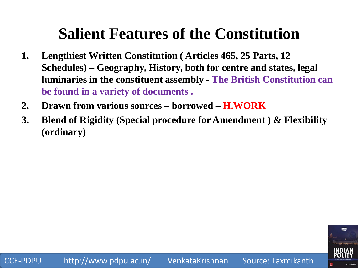- **1. Lengthiest Written Constitution ( Articles 465, 25 Parts, 12 Schedules) – Geography, History, both for centre and states, legal luminaries in the constituent assembly - The British Constitution can be found in a variety of documents .**
- **2. Drawn from various sources – borrowed – H.WORK**
- **3. Blend of Rigidity (Special procedure for Amendment ) & Flexibility (ordinary)**

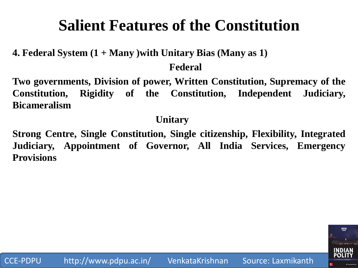**4. Federal System (1 + Many )with Unitary Bias (Many as 1)** 

**Federal**

**Two governments, Division of power, Written Constitution, Supremacy of the Constitution, Rigidity of the Constitution, Independent Judiciary, Bicameralism**

#### **Unitary**

**Strong Centre, Single Constitution, Single citizenship, Flexibility, Integrated Judiciary, Appointment of Governor, All India Services, Emergency Provisions**

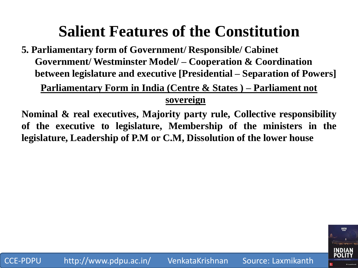**5. Parliamentary form of Government/ Responsible/ Cabinet Government/ Westminster Model/ – Cooperation & Coordination between legislature and executive [Presidential – Separation of Powers]**

#### **Parliamentary Form in India (Centre & States ) – Parliament not sovereign**

**Nominal & real executives, Majority party rule, Collective responsibility of the executive to legislature, Membership of the ministers in the legislature, Leadership of P.M or C.M, Dissolution of the lower house**

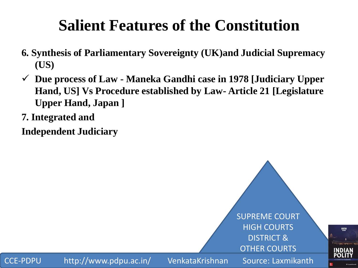- **6. Synthesis of Parliamentary Sovereignty (UK)and Judicial Supremacy (US)**
- **Due process of Law - Maneka Gandhi case in 1978 [Judiciary Upper Hand, US] Vs Procedure established by Law- Article 21 [Legislature Upper Hand, Japan ]**
- **7. Integrated and**

**Independent Judiciary**

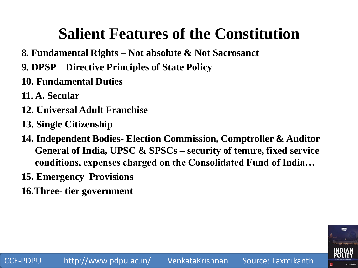- **8. Fundamental Rights – Not absolute & Not Sacrosanct**
- **9. DPSP – Directive Principles of State Policy**
- **10. Fundamental Duties**
- **11. A. Secular**
- **12. Universal Adult Franchise**
- **13. Single Citizenship**
- **14. Independent Bodies- Election Commission, Comptroller & Auditor General of India, UPSC & SPSCs – security of tenure, fixed service conditions, expenses charged on the Consolidated Fund of India…**
- **15. Emergency Provisions**
- **16.Three- tier government**

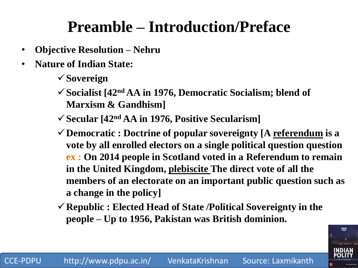# **Preamble – Introduction/Preface**

- **Objective Resolution – Nehru**
- **Nature of Indian State:** 
	- **Sovereign**
	- **Socialist [42nd AA in 1976, Democratic Socialism; blend of Marxism & Gandhism]**
	- **Secular [42nd AA in 1976, Positive Secularism]**
	- **Democratic : Doctrine of popular sovereignty [A referendum is a vote by all enrolled electors on a single political question question ex : On 2014 people in Scotland voted in a Referendum to remain in the United Kingdom, plebiscite The direct vote of all the members of an electorate on an important public question such as a change in the policy]**
	- **Republic : Elected Head of State /Political Sovereignty in the people – Up to 1956, Pakistan was British dominion.**

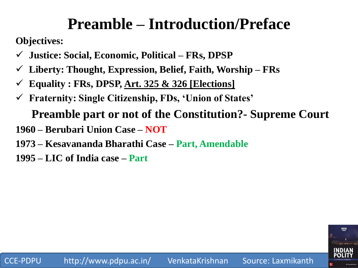# **Preamble – Introduction/Preface**

**Objectives:**

- **Justice: Social, Economic, Political – FRs, DPSP**
- **Liberty: Thought, Expression, Belief, Faith, Worship – FRs**
- **Equality : FRs, DPSP, Art. 325 & 326 [Elections]**
- **Fraternity: Single Citizenship, FDs, ‗Union of States'**

**Preamble part or not of the Constitution?- Supreme Court**

- **1960 – Berubari Union Case – NOT**
- **1973 – Kesavananda Bharathi Case – Part, Amendable**
- **1995 – LIC of India case – Part**

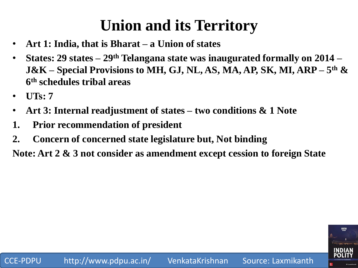# **Union and its Territory**

- **Art 1: India, that is Bharat – a Union of states**
- **States: 29 states – 29th Telangana state was inaugurated formally on 2014 – J&K – Special Provisions to MH, GJ, NL, AS, MA, AP, SK, MI, ARP – 5 th & 6 th schedules tribal areas**
- **UTs: 7**
- **Art 3: Internal readjustment of states – two conditions & 1 Note**
- **1. Prior recommendation of president**
- **2. Concern of concerned state legislature but, Not binding**

**Note: Art 2 & 3 not consider as amendment except cession to foreign State**

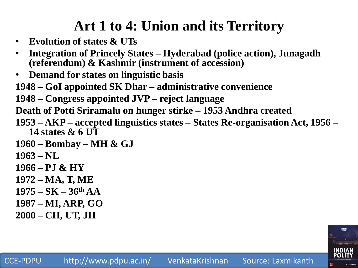### **Art 1 to 4: Union and its Territory**

- **Evolution of states & UTs**
- **Integration of Princely States – Hyderabad (police action), Junagadh (referendum) & Kashmir (instrument of accession)**
- **Demand for states on linguistic basis**
- **1948 – GoI appointed SK Dhar – administrative convenience**
- **1948 – Congress appointed JVP – reject language**
- **Death of Potti Sriramalu on hunger stirke – 1953 Andhra created**
- **1953 – AKP – accepted linguistics states – States Re-organisation Act, 1956 – 14 states & 6 UT**
- **1960 – Bombay – MH & GJ**
- **1963 – NL**
- **1966 – PJ & HY**
- **1972 – MA, T, ME**
- **1975 – SK – 36th AA**
- **1987 – MI, ARP, GO**
- **2000 – CH, UT, JH**

P<sub>1</sub>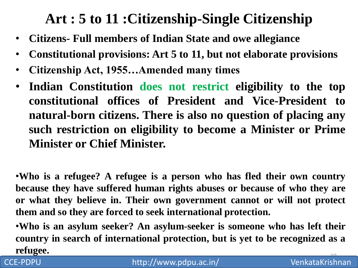#### **Art : 5 to 11 :Citizenship-Single Citizenship**

- **Citizens- Full members of Indian State and owe allegiance**
- **Constitutional provisions: Art 5 to 11, but not elaborate provisions**
- **Citizenship Act, 1955…Amended many times**
- **Indian Constitution does not restrict eligibility to the top constitutional offices of President and Vice-President to natural-born citizens. There is also no question of placing any such restriction on eligibility to become a Minister or Prime Minister or Chief Minister.**

•**Who is a refugee? A refugee is a person who has fled their own country because they have suffered human rights abuses or because of who they are or what they believe in. Their own government cannot or will not protect them and so they are forced to seek international protection.**

•**Who is an asylum seeker? An asylum-seeker is someone who has left their country in search of international protection, but is yet to be recognized as a refugee.**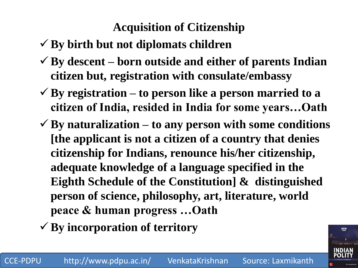#### **Acquisition of Citizenship**

- **By birth but not diplomats children**
- **By descent – born outside and either of parents Indian citizen but, registration with consulate/embassy**
- **By registration – to person like a person married to a citizen of India, resided in India for some years…Oath**
- $\checkmark$  By naturalization to any person with some conditions **[the applicant is not a citizen of a country that denies citizenship for Indians, renounce his/her citizenship, adequate knowledge of a language specified in the Eighth Schedule of the Constitution] & distinguished person of science, philosophy, art, literature, world peace & human progress …Oath**
- **By incorporation of territory**

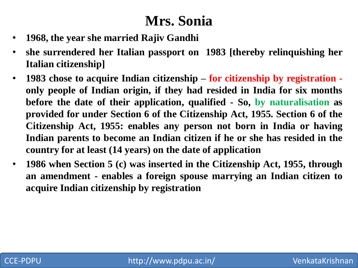#### **Mrs. Sonia**

- **1968, the year she married Rajiv Gandhi**
- **she surrendered her Italian passport on 1983 [thereby relinquishing her Italian citizenship]**
- **1983 chose to acquire Indian citizenship – for citizenship by registration only people of Indian origin, if they had resided in India for six months before the date of their application, qualified - So, by naturalisation as provided for under Section 6 of the Citizenship Act, 1955. Section 6 of the Citizenship Act, 1955: enables any person not born in India or having Indian parents to become an Indian citizen if he or she has resided in the country for at least (14 years) on the date of application**
- **1986 when Section 5 (c) was inserted in the Citizenship Act, 1955, through an amendment - enables a foreign spouse marrying an Indian citizen to acquire Indian citizenship by registration**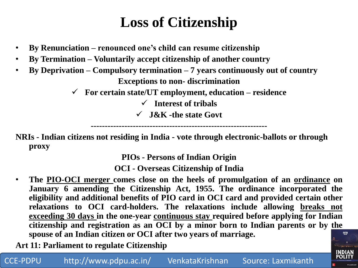### **Loss of Citizenship**

- **By Renunciation – renounced one's child can resume citizenship**
- **By Termination – Voluntarily accept citizenship of another country**
- **By Deprivation – Compulsory termination – 7 years continuously out of country Exceptions to non- discrimination**
	- **For certain state/UT employment, education – residence**
		- **Interest of tribals**
		- **J&K -the state Govt**

**--------------------------------------------------------------- NRIs - Indian citizens not residing in India - vote through electronic-ballots or through proxy**

**PIOs - Persons of Indian Origin** 

**OCI - Overseas Citizenship of India**

• **The PIO-OCI merger comes close on the heels of promulgation of an ordinance on January 6 amending the Citizenship Act, 1955. The ordinance incorporated the eligibility and additional benefits of PIO card in OCI card and provided certain other relaxations to OCI card-holders. The relaxations include allowing breaks not exceeding 30 days in the one-year continuous stay required before applying for Indian citizenship and registration as an OCI by a minor born to Indian parents or by the spouse of an Indian citizen or OCI after two years of marriage.** FIFTH

13

**Art 11: Parliament to regulate Citizenship**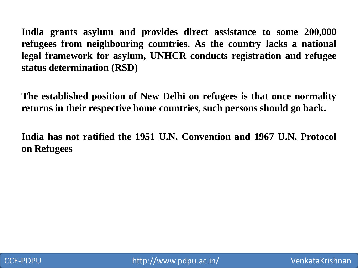**India grants asylum and provides direct assistance to some 200,000 refugees from neighbouring countries. As the country lacks a national legal framework for asylum, UNHCR conducts registration and refugee status determination (RSD)**

**The established position of New Delhi on refugees is that once normality returns in their respective home countries, such persons should go back.**

**India has not ratified the 1951 U.N. Convention and 1967 U.N. Protocol on Refugees**